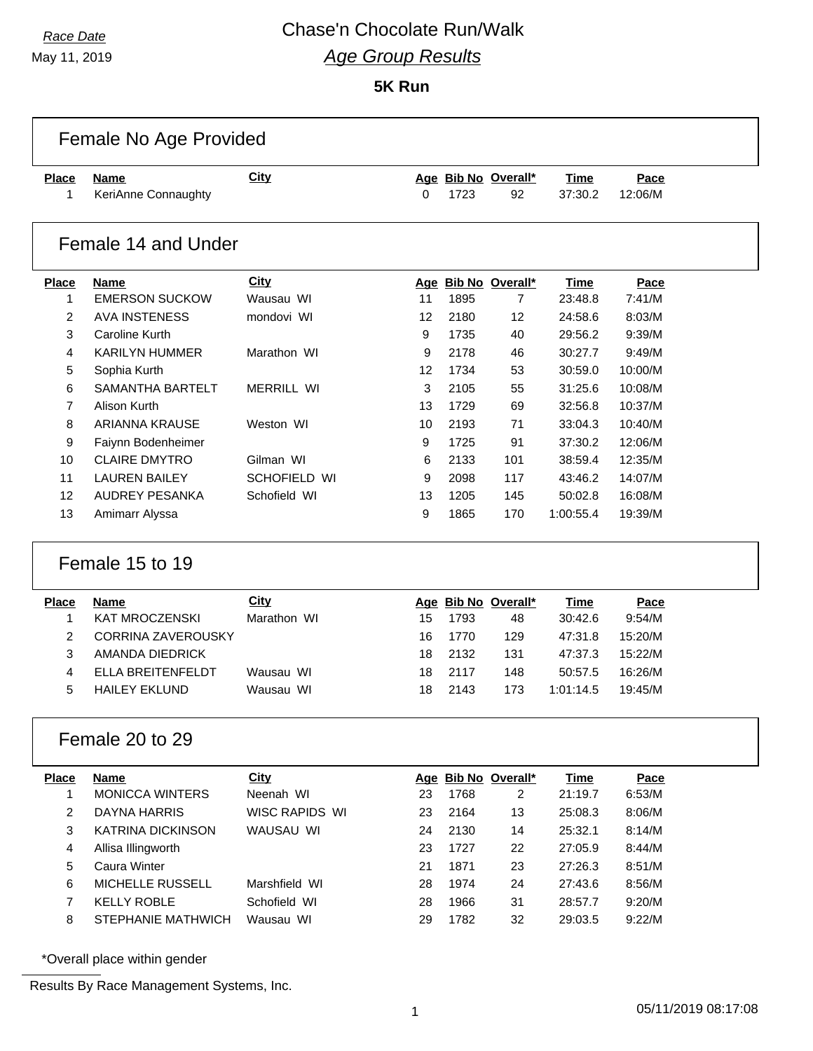May 11, 2019

#### **5K Run**

|                   | Female No Age Provided             |                   |    |      |                           |                        |                 |  |
|-------------------|------------------------------------|-------------------|----|------|---------------------------|------------------------|-----------------|--|
| <b>Place</b><br>1 | <b>Name</b><br>KeriAnne Connaughty | <b>City</b>       | 0  | 1723 | Age Bib No Overall*<br>92 | <b>Time</b><br>37:30.2 | Pace<br>12:06/M |  |
|                   | Female 14 and Under                |                   |    |      |                           |                        |                 |  |
| <b>Place</b>      | <b>Name</b>                        | <b>City</b>       |    |      | Age Bib No Overall*       | <b>Time</b>            | Pace            |  |
| 1                 | <b>EMERSON SUCKOW</b>              | Wausau WI         | 11 | 1895 | 7                         | 23:48.8                | 7:41/M          |  |
| 2                 | <b>AVA INSTENESS</b>               | mondovi WI        | 12 | 2180 | 12                        | 24:58.6                | 8:03/M          |  |
| 3                 | <b>Caroline Kurth</b>              |                   | 9  | 1735 | 40                        | 29:56.2                | 9:39/M          |  |
| 4                 | <b>KARILYN HUMMER</b>              | Marathon WI       | 9  | 2178 | 46                        | 30:27.7                | 9:49/M          |  |
| 5                 | Sophia Kurth                       |                   | 12 | 1734 | 53                        | 30:59.0                | 10:00/M         |  |
| 6                 | SAMANTHA BARTELT                   | <b>MERRILL WI</b> | 3  | 2105 | 55                        | 31:25.6                | 10:08/M         |  |
| $\overline{7}$    | Alison Kurth                       |                   | 13 | 1729 | 69                        | 32:56.8                | 10:37/M         |  |
| 8                 | <b>ARIANNA KRAUSE</b>              | Weston WI         | 10 | 2193 | 71                        | 33:04.3                | 10:40/M         |  |
| 9                 | Faiynn Bodenheimer                 |                   | 9  | 1725 | 91                        | 37:30.2                | 12:06/M         |  |
| 10                | <b>CLAIRE DMYTRO</b>               | Gilman WI         | 6  | 2133 | 101                       | 38:59.4                | 12:35/M         |  |
| 11                | <b>LAUREN BAILEY</b>               | SCHOFIELD WI      | 9  | 2098 | 117                       | 43:46.2                | 14:07/M         |  |
| 12                | <b>AUDREY PESANKA</b>              | Schofield WI      | 13 | 1205 | 145                       | 50:02.8                | 16:08/M         |  |
| 13                | Amimarr Alyssa                     |                   | 9  | 1865 | 170                       | 1:00:55.4              | 19:39/M         |  |
|                   | Female 15 to 19                    |                   |    |      |                           |                        |                 |  |
| <b>Place</b>      | <b>Name</b>                        | City              |    |      | Age Bib No Overall*       | <b>Time</b>            | Pace            |  |
| 1                 | <b>KAT MROCZENSKI</b>              | Marathon WI       | 15 | 1793 | 48                        | 30:42.6                | 9:54/M          |  |
| $\overline{2}$    | <b>CORRINA ZAVEROUSKY</b>          |                   | 16 | 1770 | 129                       | 47:31.8                | 15:20/M         |  |
| 3                 | AMANDA DIEDRICK                    |                   | 18 | 2132 | 131                       | 47:37.3                | 15:22/M         |  |
| 4                 | <b>ELLA BREITENFELDT</b>           | Wausau WI         | 18 | 2117 | 148                       | 50:57.5                | 16:26/M         |  |
| 5                 | <b>HAILEY EKLUND</b>               | Wausau WI         | 18 | 2143 | 173                       | 1:01:14.5              | 19:45/M         |  |
|                   | Female 20 to 29                    |                   |    |      |                           |                        |                 |  |
| <b>Place</b>      | <b>Name</b>                        | City              |    |      | Age Bib No Overall*       | <b>Time</b>            | Pace            |  |
| 1                 | <b>MONICCA WINTERS</b>             | Neenah WI         | 23 | 1768 | 2                         | 21:19.7                | 6:53/M          |  |
| 2                 | <b>DAYNA HARRIS</b>                | WISC RAPIDS WI    | 23 | 2164 | 13                        | 25:08.3                | 8:06/M          |  |
| 3                 | <b>KATRINA DICKINSON</b>           | WAUSAU WI         | 24 | 2130 | 14                        | 25:32.1                | 8:14/M          |  |
| 4                 | Allisa Illingworth                 |                   | 23 | 1727 | 22                        | 27:05.9                | 8:44/M          |  |
| 5                 | Caura Winter                       |                   | 21 | 1871 | 23                        | 27:26.3                | 8:51/M          |  |
| 6                 | MICHELLE RUSSELL                   | Marshfield WI     | 28 | 1974 | 24                        | 27:43.6                | 8:56/M          |  |
| $\overline{7}$    | <b>KELLY ROBLE</b>                 | Schofield WI      | 28 | 1966 | 31                        | 28:57.7                | 9:20/M          |  |
| 8                 |                                    |                   |    |      |                           |                        |                 |  |
|                   | STEPHANIE MATHWICH                 | Wausau WI         | 29 | 1782 | 32                        | 29:03.5                | 9:22/M          |  |

\*Overall place within gender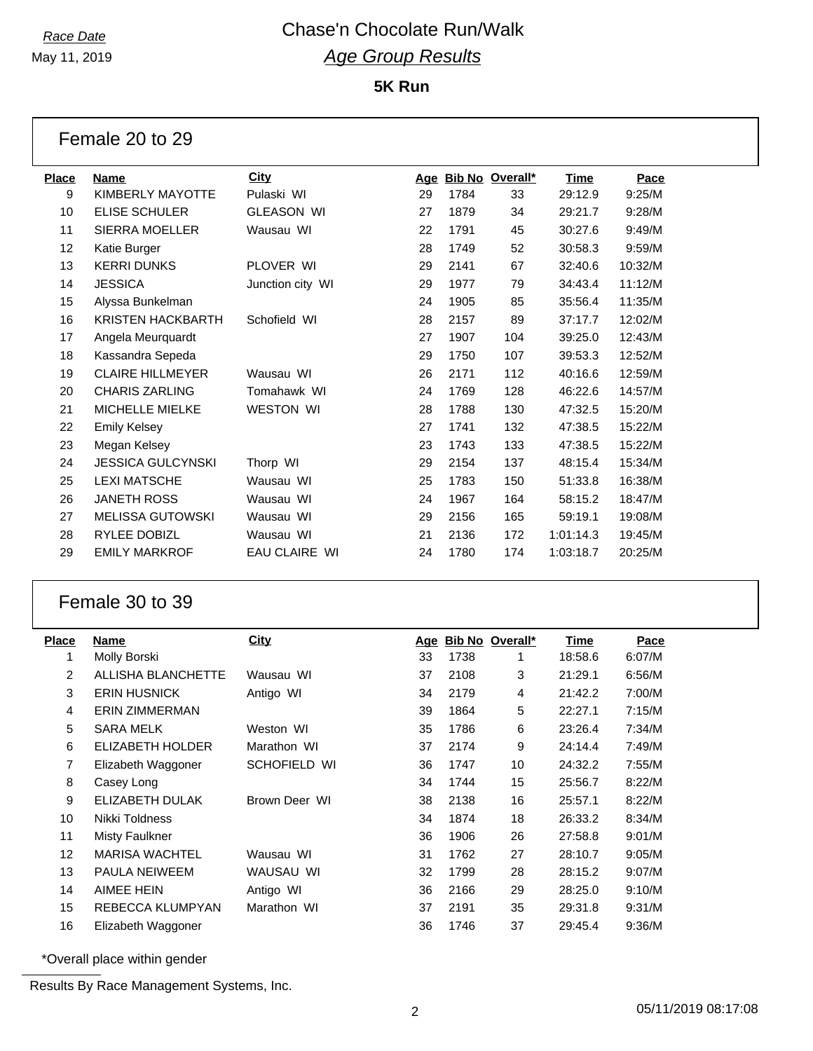May 11, 2019

### **5K Run**

|              | Female 20 to 29          |                      |     |      |                 |           |         |
|--------------|--------------------------|----------------------|-----|------|-----------------|-----------|---------|
| <b>Place</b> | <b>Name</b>              | <b>City</b>          | Age |      | Bib No Overall* | Time      | Pace    |
| 9            | <b>KIMBERLY MAYOTTE</b>  | Pulaski WI           | 29  | 1784 | 33              | 29:12.9   | 9:25/M  |
| 10           | <b>ELISE SCHULER</b>     | <b>GLEASON WI</b>    | 27  | 1879 | 34              | 29:21.7   | 9:28/M  |
| 11           | SIERRA MOELLER           | Wausau WI            | 22  | 1791 | 45              | 30:27.6   | 9:49/M  |
| 12           | Katie Burger             |                      | 28  | 1749 | 52              | 30:58.3   | 9:59/M  |
| 13           | <b>KERRI DUNKS</b>       | PLOVER WI            | 29  | 2141 | 67              | 32:40.6   | 10:32/M |
| 14           | <b>JESSICA</b>           | Junction city WI     | 29  | 1977 | 79              | 34:43.4   | 11:12/M |
| 15           | Alyssa Bunkelman         |                      | 24  | 1905 | 85              | 35:56.4   | 11:35/M |
| 16           | <b>KRISTEN HACKBARTH</b> | Schofield WI         | 28  | 2157 | 89              | 37:17.7   | 12:02/M |
| 17           | Angela Meurquardt        |                      | 27  | 1907 | 104             | 39:25.0   | 12:43/M |
| 18           | Kassandra Sepeda         |                      | 29  | 1750 | 107             | 39:53.3   | 12:52/M |
| 19           | <b>CLAIRE HILLMEYER</b>  | Wausau WI            | 26  | 2171 | 112             | 40:16.6   | 12:59/M |
| 20           | <b>CHARIS ZARLING</b>    | Tomahawk WI          | 24  | 1769 | 128             | 46:22.6   | 14:57/M |
| 21           | <b>MICHELLE MIELKE</b>   | <b>WESTON WI</b>     | 28  | 1788 | 130             | 47:32.5   | 15:20/M |
| 22           | <b>Emily Kelsey</b>      |                      | 27  | 1741 | 132             | 47:38.5   | 15:22/M |
| 23           | Megan Kelsey             |                      | 23  | 1743 | 133             | 47:38.5   | 15:22/M |
| 24           | <b>JESSICA GULCYNSKI</b> | Thorp WI             | 29  | 2154 | 137             | 48:15.4   | 15:34/M |
| 25           | <b>LEXI MATSCHE</b>      | Wausau WI            | 25  | 1783 | 150             | 51:33.8   | 16:38/M |
| 26           | <b>JANETH ROSS</b>       | Wausau WI            | 24  | 1967 | 164             | 58:15.2   | 18:47/M |
| 27           | <b>MELISSA GUTOWSKI</b>  | Wausau WI            | 29  | 2156 | 165             | 59:19.1   | 19:08/M |
| 28           | <b>RYLEE DOBIZL</b>      | Wausau WI            | 21  | 2136 | 172             | 1:01:14.3 | 19:45/M |
| 29           | <b>EMILY MARKROF</b>     | <b>EAU CLAIRE WI</b> | 24  | 1780 | 174             | 1:03:18.7 | 20:25/M |

### Female 30 to 39

| <b>Place</b> | Name                  | <b>City</b>   | <u>Age</u> |      | Bib No Overall* | <u>Time</u> | Pace   |
|--------------|-----------------------|---------------|------------|------|-----------------|-------------|--------|
| 1            | Molly Borski          |               | 33         | 1738 |                 | 18:58.6     | 6:07/M |
| 2            | ALLISHA BLANCHETTE    | Wausau WI     | 37         | 2108 | 3               | 21:29.1     | 6:56/M |
| 3            | <b>ERIN HUSNICK</b>   | Antigo WI     | 34         | 2179 | 4               | 21:42.2     | 7:00/M |
| 4            | <b>ERIN ZIMMERMAN</b> |               | 39         | 1864 | 5               | 22:27.1     | 7:15/M |
| 5            | SARA MELK             | Weston WI     | 35         | 1786 | 6               | 23:26.4     | 7:34/M |
| 6            | ELIZABETH HOLDER      | Marathon WI   | 37         | 2174 | 9               | 24:14.4     | 7:49/M |
| 7            | Elizabeth Waggoner    | SCHOFIELD WI  | 36         | 1747 | 10              | 24:32.2     | 7:55/M |
| 8            | Casey Long            |               | 34         | 1744 | 15              | 25:56.7     | 8:22/M |
| 9            | ELIZABETH DULAK       | Brown Deer WI | 38         | 2138 | 16              | 25:57.1     | 8:22/M |
| 10           | Nikki Toldness        |               | 34         | 1874 | 18              | 26:33.2     | 8:34/M |
| 11           | <b>Misty Faulkner</b> |               | 36         | 1906 | 26              | 27:58.8     | 9:01/M |
| 12           | <b>MARISA WACHTEL</b> | Wausau WI     | 31         | 1762 | 27              | 28:10.7     | 9:05/M |
| 13           | <b>PAULA NEIWEEM</b>  | WAUSAU WI     | 32         | 1799 | 28              | 28:15.2     | 9:07/M |
| 14           | AIMEE HEIN            | Antigo WI     | 36         | 2166 | 29              | 28:25.0     | 9:10/M |
| 15           | REBECCA KLUMPYAN      | Marathon WI   | 37         | 2191 | 35              | 29:31.8     | 9:31/M |
| 16           | Elizabeth Waggoner    |               | 36         | 1746 | 37              | 29:45.4     | 9:36/M |
|              |                       |               |            |      |                 |             |        |

\*Overall place within gender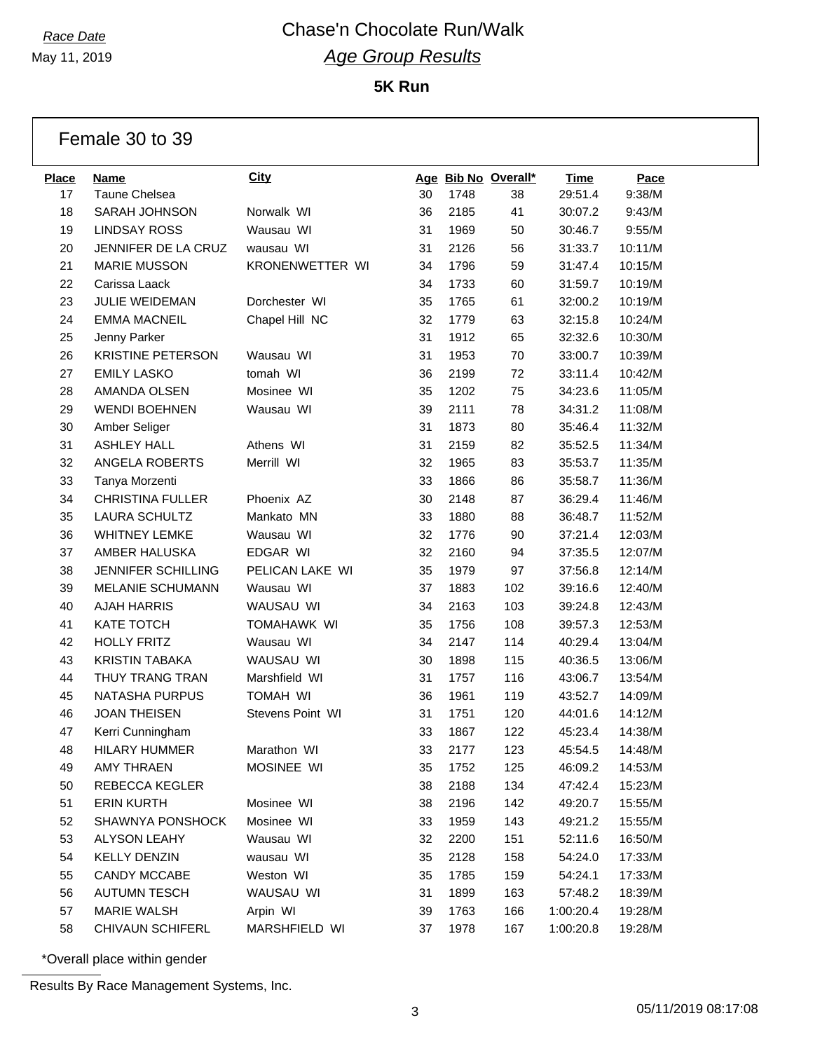May 11, 2019

**5K Run**

Female 30 to 39

| <b>Place</b> | <b>Name</b>               | <b>City</b>        |    |      | Age Bib No Overall* | <b>Time</b> | Pace    |
|--------------|---------------------------|--------------------|----|------|---------------------|-------------|---------|
| 17           | Taune Chelsea             |                    | 30 | 1748 | 38                  | 29:51.4     | 9:38/M  |
| 18           | SARAH JOHNSON             | Norwalk WI         | 36 | 2185 | 41                  | 30:07.2     | 9:43/M  |
| 19           | <b>LINDSAY ROSS</b>       | Wausau WI          | 31 | 1969 | 50                  | 30:46.7     | 9:55/M  |
| 20           | JENNIFER DE LA CRUZ       | wausau WI          | 31 | 2126 | 56                  | 31:33.7     | 10:11/M |
| 21           | <b>MARIE MUSSON</b>       | KRONENWETTER WI    | 34 | 1796 | 59                  | 31:47.4     | 10:15/M |
| 22           | Carissa Laack             |                    | 34 | 1733 | 60                  | 31:59.7     | 10:19/M |
| 23           | JULIE WEIDEMAN            | Dorchester WI      | 35 | 1765 | 61                  | 32:00.2     | 10:19/M |
| 24           | <b>EMMA MACNEIL</b>       | Chapel Hill NC     | 32 | 1779 | 63                  | 32:15.8     | 10:24/M |
| 25           | Jenny Parker              |                    | 31 | 1912 | 65                  | 32:32.6     | 10:30/M |
| 26           | <b>KRISTINE PETERSON</b>  | Wausau WI          | 31 | 1953 | 70                  | 33:00.7     | 10:39/M |
| 27           | <b>EMILY LASKO</b>        | tomah WI           | 36 | 2199 | 72                  | 33:11.4     | 10:42/M |
| 28           | AMANDA OLSEN              | Mosinee WI         | 35 | 1202 | 75                  | 34:23.6     | 11:05/M |
| 29           | <b>WENDI BOEHNEN</b>      | Wausau WI          | 39 | 2111 | 78                  | 34:31.2     | 11:08/M |
| 30           | Amber Seliger             |                    | 31 | 1873 | 80                  | 35:46.4     | 11:32/M |
| 31           | <b>ASHLEY HALL</b>        | Athens WI          | 31 | 2159 | 82                  | 35:52.5     | 11:34/M |
| 32           | ANGELA ROBERTS            | Merrill WI         | 32 | 1965 | 83                  | 35:53.7     | 11:35/M |
| 33           | Tanya Morzenti            |                    | 33 | 1866 | 86                  | 35:58.7     | 11:36/M |
| 34           | <b>CHRISTINA FULLER</b>   | Phoenix AZ         | 30 | 2148 | 87                  | 36:29.4     | 11:46/M |
| 35           | <b>LAURA SCHULTZ</b>      | Mankato MN         | 33 | 1880 | 88                  | 36:48.7     | 11:52/M |
| 36           | <b>WHITNEY LEMKE</b>      | Wausau WI          | 32 | 1776 | 90                  | 37:21.4     | 12:03/M |
| 37           | AMBER HALUSKA             | EDGAR WI           | 32 | 2160 | 94                  | 37:35.5     | 12:07/M |
| 38           | <b>JENNIFER SCHILLING</b> | PELICAN LAKE WI    | 35 | 1979 | 97                  | 37:56.8     | 12:14/M |
| 39           | <b>MELANIE SCHUMANN</b>   | Wausau WI          | 37 | 1883 | 102                 | 39:16.6     | 12:40/M |
| 40           | <b>AJAH HARRIS</b>        | WAUSAU WI          | 34 | 2163 | 103                 | 39:24.8     | 12:43/M |
| 41           | <b>KATE TOTCH</b>         | <b>TOMAHAWK WI</b> | 35 | 1756 | 108                 | 39:57.3     | 12:53/M |
| 42           | <b>HOLLY FRITZ</b>        | Wausau WI          | 34 | 2147 | 114                 | 40:29.4     | 13:04/M |
| 43           | <b>KRISTIN TABAKA</b>     | WAUSAU WI          | 30 | 1898 | 115                 | 40:36.5     | 13:06/M |
| 44           | THUY TRANG TRAN           | Marshfield WI      | 31 | 1757 | 116                 | 43:06.7     | 13:54/M |
| 45           | <b>NATASHA PURPUS</b>     | <b>TOMAH WI</b>    | 36 | 1961 | 119                 | 43:52.7     | 14:09/M |
| 46           | <b>JOAN THEISEN</b>       | Stevens Point WI   | 31 | 1751 | 120                 | 44:01.6     | 14:12/M |
| 47           | Kerri Cunningham          |                    | 33 | 1867 | 122                 | 45:23.4     | 14:38/M |
| 48           | <b>HILARY HUMMER</b>      | Marathon WI        | 33 | 2177 | 123                 | 45:54.5     | 14:48/M |
| 49           | <b>AMY THRAEN</b>         | MOSINEE WI         | 35 | 1752 | 125                 | 46:09.2     | 14:53/M |
| 50           | <b>REBECCA KEGLER</b>     |                    | 38 | 2188 | 134                 | 47:42.4     | 15:23/M |
| 51           | <b>ERIN KURTH</b>         | Mosinee WI         | 38 | 2196 | 142                 | 49:20.7     | 15:55/M |
| 52           | SHAWNYA PONSHOCK          | Mosinee WI         | 33 | 1959 | 143                 | 49:21.2     | 15:55/M |
| 53           | ALYSON LEAHY              | Wausau WI          | 32 | 2200 | 151                 | 52:11.6     | 16:50/M |
| 54           | <b>KELLY DENZIN</b>       | wausau WI          | 35 | 2128 | 158                 | 54:24.0     | 17:33/M |
| 55           | CANDY MCCABE              | Weston WI          | 35 | 1785 | 159                 | 54:24.1     | 17:33/M |
| 56           | <b>AUTUMN TESCH</b>       | WAUSAU WI          | 31 | 1899 | 163                 | 57:48.2     | 18:39/M |
| 57           | <b>MARIE WALSH</b>        | Arpin WI           | 39 | 1763 | 166                 | 1:00:20.4   | 19:28/M |
| 58           | <b>CHIVAUN SCHIFERL</b>   | MARSHFIELD WI      | 37 | 1978 | 167                 | 1:00:20.8   | 19:28/M |

\*Overall place within gender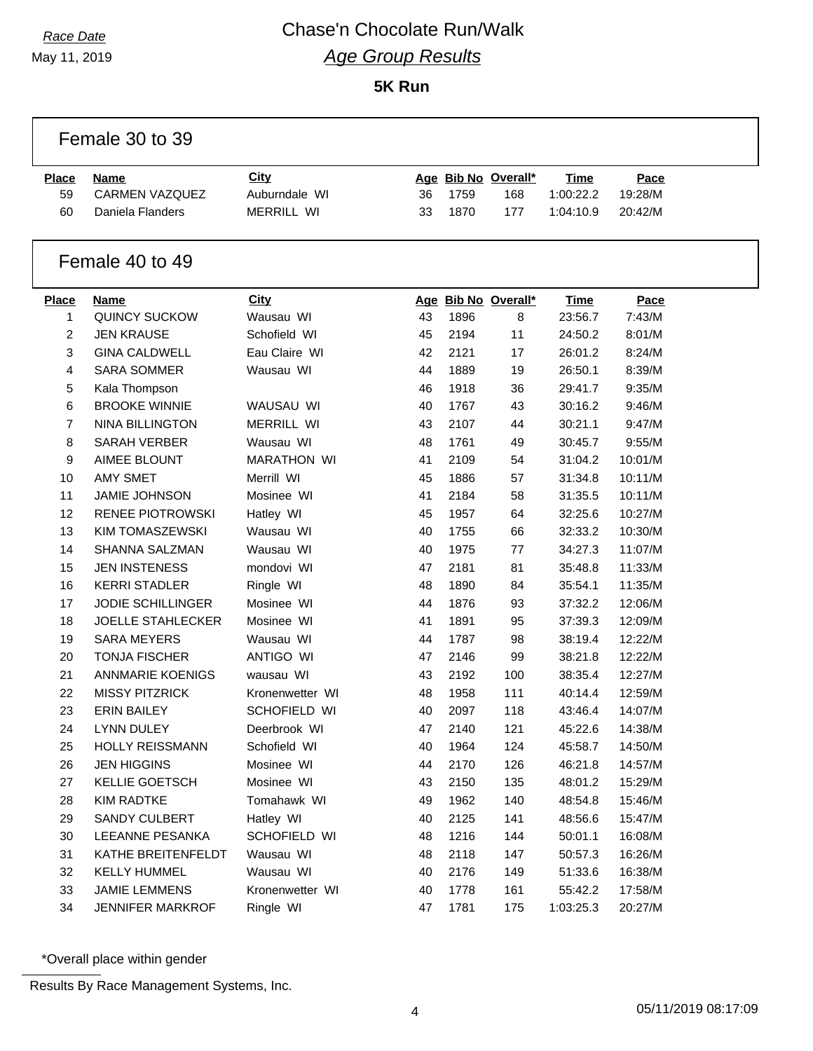### *Race Date* Chase'n Chocolate Run/Walk *Age Group Results* **5K Run**

|                | Female 30 to 39          |                    |    |      |                     |           |         |  |
|----------------|--------------------------|--------------------|----|------|---------------------|-----------|---------|--|
| <b>Place</b>   | Name                     | <b>City</b>        |    |      | Age Bib No Overall* | Time      | Pace    |  |
| 59             | <b>CARMEN VAZQUEZ</b>    | Auburndale WI      | 36 | 1759 | 168                 | 1:00:22.2 | 19:28/M |  |
| 60             | Daniela Flanders         | <b>MERRILL WI</b>  | 33 | 1870 | 177                 | 1:04:10.9 | 20:42/M |  |
|                | Female 40 to 49          |                    |    |      |                     |           |         |  |
| <b>Place</b>   | <b>Name</b>              | <b>City</b>        |    |      | Age Bib No Overall* | Time      | Pace    |  |
| 1              | <b>QUINCY SUCKOW</b>     | Wausau WI          | 43 | 1896 | 8                   | 23:56.7   | 7:43/M  |  |
| $\overline{c}$ | <b>JEN KRAUSE</b>        | Schofield WI       | 45 | 2194 | 11                  | 24:50.2   | 8:01/M  |  |
| 3              | <b>GINA CALDWELL</b>     | Eau Claire WI      | 42 | 2121 | 17                  | 26:01.2   | 8:24/M  |  |
| 4              | <b>SARA SOMMER</b>       | Wausau WI          | 44 | 1889 | 19                  | 26:50.1   | 8:39/M  |  |
| 5              | Kala Thompson            |                    | 46 | 1918 | 36                  | 29:41.7   | 9:35/M  |  |
| 6              | <b>BROOKE WINNIE</b>     | WAUSAU WI          | 40 | 1767 | 43                  | 30:16.2   | 9:46/M  |  |
| 7              | <b>NINA BILLINGTON</b>   | <b>MERRILL WI</b>  | 43 | 2107 | 44                  | 30:21.1   | 9:47/M  |  |
| 8              | <b>SARAH VERBER</b>      | Wausau WI          | 48 | 1761 | 49                  | 30:45.7   | 9:55/M  |  |
| 9              | AIMEE BLOUNT             | <b>MARATHON WI</b> | 41 | 2109 | 54                  | 31:04.2   | 10:01/M |  |
| 10             | <b>AMY SMET</b>          | Merrill WI         | 45 | 1886 | 57                  | 31:34.8   | 10:11/M |  |
| 11             | <b>JAMIE JOHNSON</b>     | Mosinee WI         | 41 | 2184 | 58                  | 31:35.5   | 10:11/M |  |
| 12             | <b>RENEE PIOTROWSKI</b>  | Hatley WI          | 45 | 1957 | 64                  | 32:25.6   | 10:27/M |  |
| 13             | <b>KIM TOMASZEWSKI</b>   | Wausau WI          | 40 | 1755 | 66                  | 32:33.2   | 10:30/M |  |
| 14             | SHANNA SALZMAN           | Wausau WI          | 40 | 1975 | 77                  | 34:27.3   | 11:07/M |  |
| 15             | <b>JEN INSTENESS</b>     | mondovi WI         | 47 | 2181 | 81                  | 35:48.8   | 11:33/M |  |
| 16             | <b>KERRI STADLER</b>     | Ringle WI          | 48 | 1890 | 84                  | 35:54.1   | 11:35/M |  |
| 17             | <b>JODIE SCHILLINGER</b> | Mosinee WI         | 44 | 1876 | 93                  | 37:32.2   | 12:06/M |  |
| 18             | <b>JOELLE STAHLECKER</b> | Mosinee WI         | 41 | 1891 | 95                  | 37:39.3   | 12:09/M |  |
| 19             | <b>SARA MEYERS</b>       | Wausau WI          | 44 | 1787 | 98                  | 38:19.4   | 12:22/M |  |
| 20             | <b>TONJA FISCHER</b>     | <b>ANTIGO WI</b>   | 47 | 2146 | 99                  | 38:21.8   | 12:22/M |  |
| 21             | <b>ANNMARIE KOENIGS</b>  | wausau WI          | 43 | 2192 | 100                 | 38:35.4   | 12:27/M |  |
| 22             | <b>MISSY PITZRICK</b>    | Kronenwetter WI    | 48 | 1958 | 111                 | 40:14.4   | 12:59/M |  |
| 23             | <b>ERIN BAILEY</b>       | SCHOFIELD WI       | 40 | 2097 | 118                 | 43:46.4   | 14:07/M |  |
| 24             | <b>LYNN DULEY</b>        | Deerbrook WI       | 47 | 2140 | 121                 | 45:22.6   | 14:38/M |  |
| 25             | <b>HOLLY REISSMANN</b>   | Schofield WI       | 40 | 1964 | 124                 | 45:58.7   | 14:50/M |  |
| 26             | <b>JEN HIGGINS</b>       | Mosinee WI         | 44 | 2170 | 126                 | 46:21.8   | 14:57/M |  |
| 27             | <b>KELLIE GOETSCH</b>    | Mosinee WI         | 43 | 2150 | 135                 | 48:01.2   | 15:29/M |  |
| 28             | <b>KIM RADTKE</b>        | Tomahawk WI        | 49 | 1962 | 140                 | 48:54.8   | 15:46/M |  |
| 29             | SANDY CULBERT            | Hatley WI          | 40 | 2125 | 141                 | 48:56.6   | 15:47/M |  |
| 30             | LEEANNE PESANKA          | SCHOFIELD WI       | 48 | 1216 | 144                 | 50:01.1   | 16:08/M |  |
| 31             | KATHE BREITENFELDT       | Wausau WI          | 48 | 2118 | 147                 | 50:57.3   | 16:26/M |  |
| 32             | <b>KELLY HUMMEL</b>      | Wausau WI          | 40 | 2176 | 149                 | 51:33.6   | 16:38/M |  |
| 33             | <b>JAMIE LEMMENS</b>     | Kronenwetter WI    | 40 | 1778 | 161                 | 55:42.2   | 17:58/M |  |
| 34             | JENNIFER MARKROF         | Ringle WI          | 47 | 1781 | 175                 | 1:03:25.3 | 20:27/M |  |

\*Overall place within gender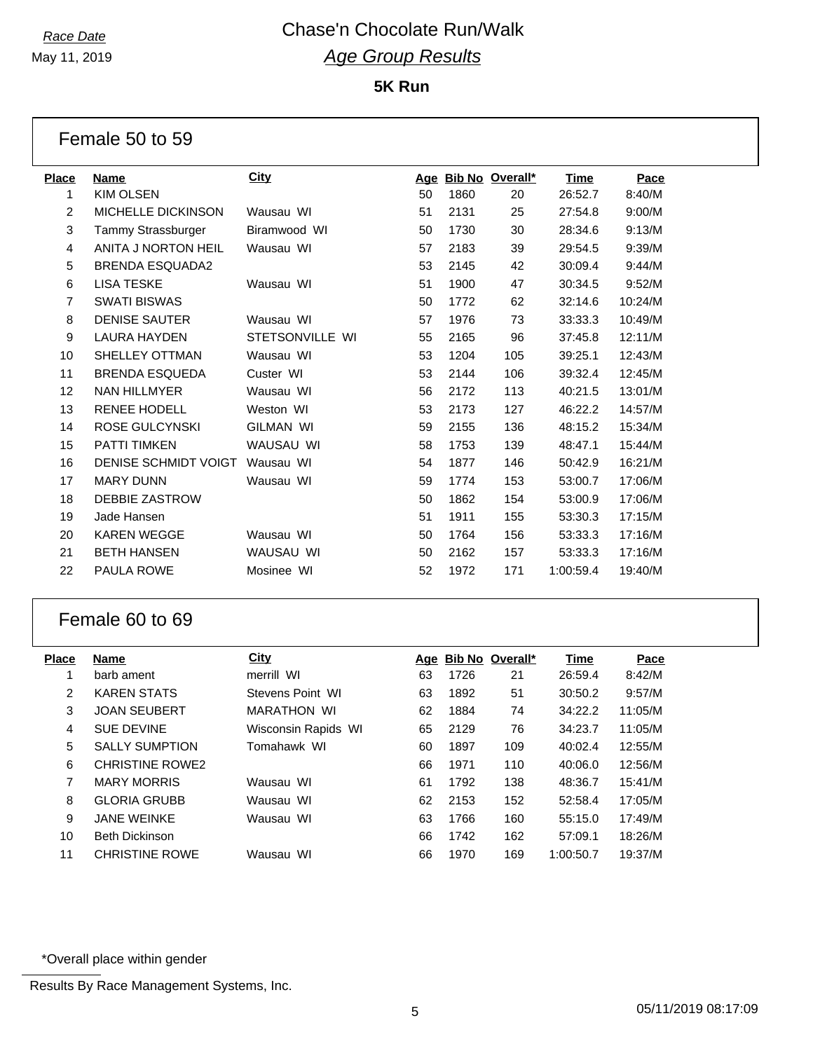May 11, 2019

**5K Run**

|                | Female 50 to 59        |                  |    |      |                     |             |         |
|----------------|------------------------|------------------|----|------|---------------------|-------------|---------|
| <b>Place</b>   | Name                   | City             |    |      | Age Bib No Overall* | <b>Time</b> | Pace    |
| 1              | <b>KIM OLSEN</b>       |                  | 50 | 1860 | 20                  | 26:52.7     | 8:40/M  |
| $\overline{2}$ | MICHELLE DICKINSON     | Wausau WI        | 51 | 2131 | 25                  | 27:54.8     | 9:00/M  |
| 3              | Tammy Strassburger     | Biramwood WI     | 50 | 1730 | 30                  | 28:34.6     | 9:13/M  |
| 4              | ANITA J NORTON HEIL    | Wausau WI        | 57 | 2183 | 39                  | 29:54.5     | 9:39/M  |
| 5              | <b>BRENDA ESQUADA2</b> |                  | 53 | 2145 | 42                  | 30:09.4     | 9:44/M  |
| 6              | <b>LISA TESKE</b>      | Wausau WI        | 51 | 1900 | 47                  | 30:34.5     | 9:52/M  |
| $\overline{7}$ | <b>SWATI BISWAS</b>    |                  | 50 | 1772 | 62                  | 32:14.6     | 10:24/M |
| 8              | <b>DENISE SAUTER</b>   | Wausau WI        | 57 | 1976 | 73                  | 33:33.3     | 10:49/M |
| 9              | <b>LAURA HAYDEN</b>    | STETSONVILLE WI  | 55 | 2165 | 96                  | 37:45.8     | 12:11/M |
| 10             | <b>SHELLEY OTTMAN</b>  | Wausau WI        | 53 | 1204 | 105                 | 39:25.1     | 12:43/M |
| 11             | <b>BRENDA ESQUEDA</b>  | Custer WI        | 53 | 2144 | 106                 | 39:32.4     | 12:45/M |
| 12             | <b>NAN HILLMYER</b>    | Wausau WI        | 56 | 2172 | 113                 | 40:21.5     | 13:01/M |
| 13             | <b>RENEE HODELL</b>    | Weston WI        | 53 | 2173 | 127                 | 46:22.2     | 14:57/M |
| 14             | <b>ROSE GULCYNSKI</b>  | <b>GILMAN WI</b> | 59 | 2155 | 136                 | 48:15.2     | 15:34/M |
| 15             | <b>PATTI TIMKEN</b>    | WAUSAU WI        | 58 | 1753 | 139                 | 48:47.1     | 15:44/M |
| 16             | DENISE SCHMIDT VOIGT   | Wausau WI        | 54 | 1877 | 146                 | 50:42.9     | 16:21/M |
| 17             | <b>MARY DUNN</b>       | Wausau WI        | 59 | 1774 | 153                 | 53:00.7     | 17:06/M |
| 18             | DEBBIE ZASTROW         |                  | 50 | 1862 | 154                 | 53:00.9     | 17:06/M |
| 19             | Jade Hansen            |                  | 51 | 1911 | 155                 | 53:30.3     | 17:15/M |
| 20             | <b>KAREN WEGGE</b>     | Wausau WI        | 50 | 1764 | 156                 | 53:33.3     | 17:16/M |
| 21             | <b>BETH HANSEN</b>     | WAUSAU WI        | 50 | 2162 | 157                 | 53:33.3     | 17:16/M |
| 22             | <b>PAULA ROWE</b>      | Mosinee WI       | 52 | 1972 | 171                 | 1:00:59.4   | 19:40/M |

### Female 60 to 69

| Place | Name                   | City                |    |      | Age Bib No Overall* | Time      | Pace    |
|-------|------------------------|---------------------|----|------|---------------------|-----------|---------|
|       | barb ament             | merrill WI          | 63 | 1726 | 21                  | 26:59.4   | 8:42/M  |
| 2     | <b>KAREN STATS</b>     | Stevens Point WI    | 63 | 1892 | 51                  | 30:50.2   | 9:57/M  |
| 3     | <b>JOAN SEUBERT</b>    | <b>MARATHON WI</b>  | 62 | 1884 | 74                  | 34:22.2   | 11:05/M |
| 4     | <b>SUE DEVINE</b>      | Wisconsin Rapids WI | 65 | 2129 | 76                  | 34:23.7   | 11:05/M |
| 5     | <b>SALLY SUMPTION</b>  | Tomahawk WI         | 60 | 1897 | 109                 | 40:02.4   | 12:55/M |
| 6     | <b>CHRISTINE ROWE2</b> |                     | 66 | 1971 | 110                 | 40:06.0   | 12:56/M |
| 7     | <b>MARY MORRIS</b>     | Wausau WI           | 61 | 1792 | 138                 | 48:36.7   | 15:41/M |
| 8     | <b>GLORIA GRUBB</b>    | Wausau WI           | 62 | 2153 | 152                 | 52:58.4   | 17:05/M |
| 9     | <b>JANE WEINKE</b>     | Wausau WI           | 63 | 1766 | 160                 | 55:15.0   | 17:49/M |
| 10    | <b>Beth Dickinson</b>  |                     | 66 | 1742 | 162                 | 57:09.1   | 18:26/M |
| 11    | <b>CHRISTINE ROWE</b>  | Wausau WI           | 66 | 1970 | 169                 | 1:00:50.7 | 19:37/M |
|       |                        |                     |    |      |                     |           |         |

\*Overall place within gender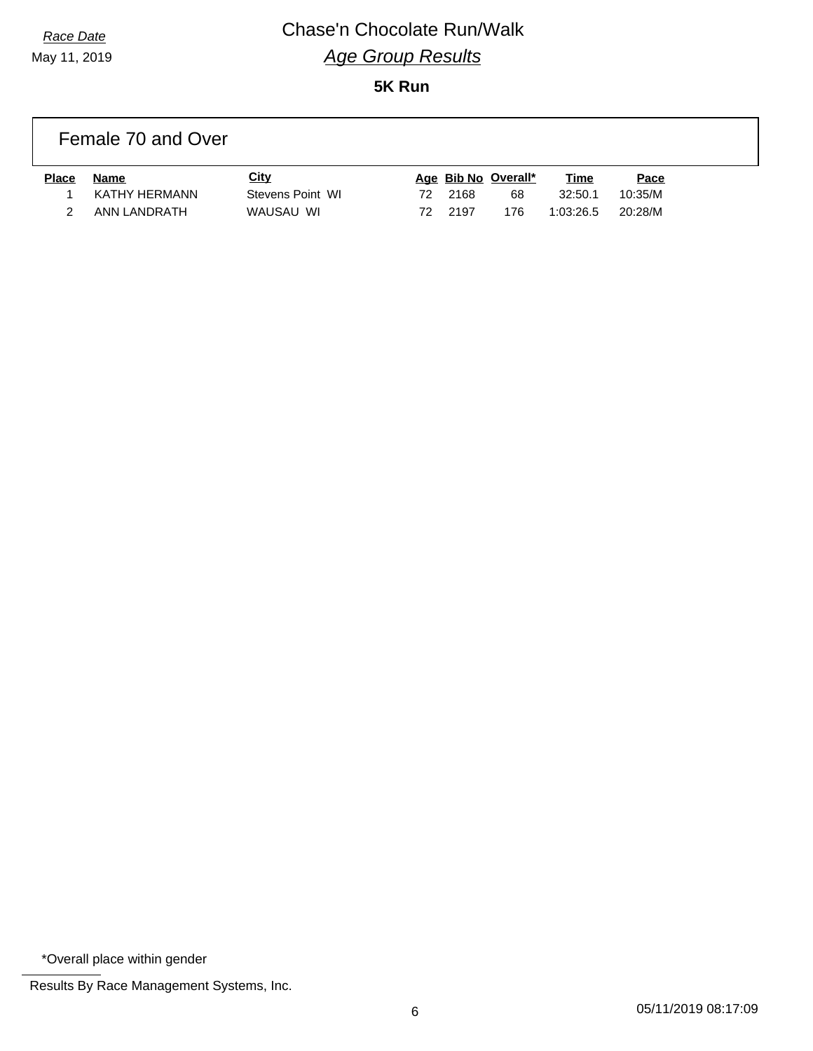### *Race Date* Chase'n Chocolate Run/Walk *Age Group Results* **5K Run**

Female 70 and Over

| <b>Place</b> | Name          | City             |     |        | Age Bib No Overall* | <u>Time</u> | <u>Pace</u> |
|--------------|---------------|------------------|-----|--------|---------------------|-------------|-------------|
|              | KATHY HERMANN | Stevens Point WI | 72. | 2168   | 68                  | 32:50.1     | 10.35/M     |
|              | ANN LANDRATH  | WAUSAU WI        | 72  | - 2197 | 176                 | 1:03:26.5   | 20:28/M     |

\*Overall place within gender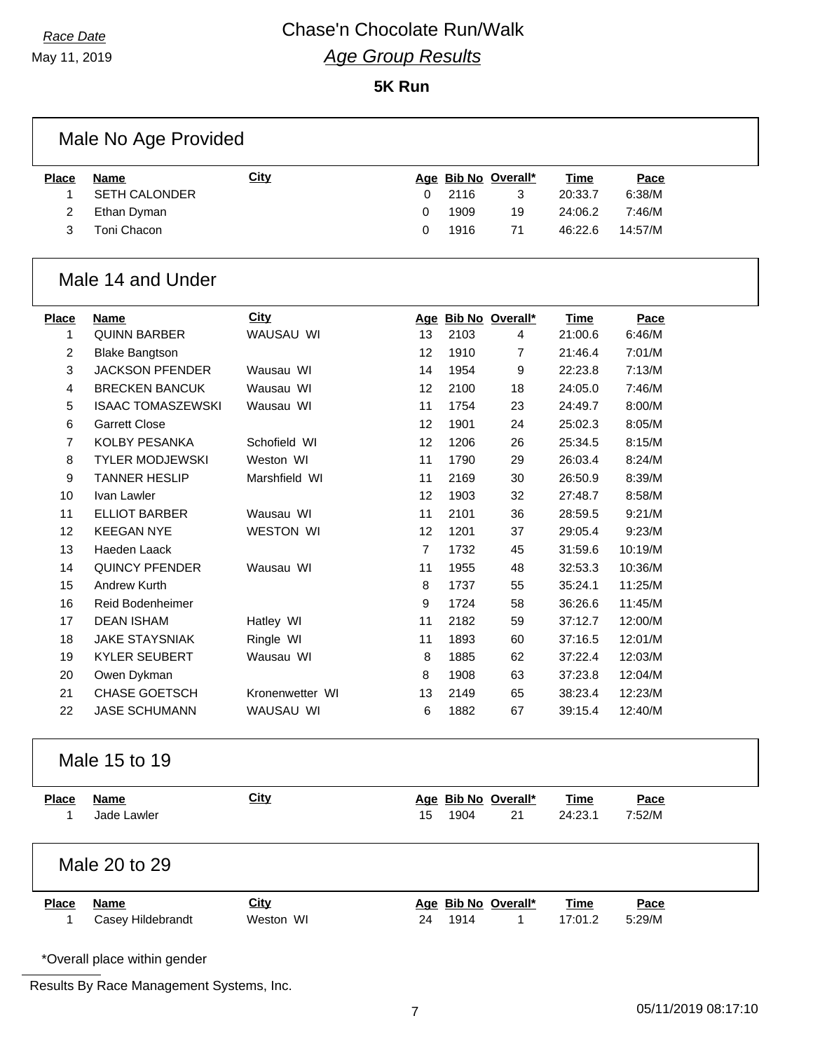May 11, 2019

### **5K Run**

|                   | Male No Age Provided                |                  |                |      |                           |                        |                |
|-------------------|-------------------------------------|------------------|----------------|------|---------------------------|------------------------|----------------|
| <b>Place</b><br>1 | <b>Name</b><br><b>SETH CALONDER</b> | <b>City</b>      | 0              | 2116 | Age Bib No Overall*<br>3  | Time<br>20:33.7        | Pace<br>6:38/M |
| $\overline{2}$    | Ethan Dyman                         |                  | 0              | 1909 | 19                        | 24:06.2                | 7:46/M         |
| 3                 | Toni Chacon                         |                  | 0              | 1916 | 71                        | 46:22.6                | 14:57/M        |
|                   | Male 14 and Under                   |                  |                |      |                           |                        |                |
| <b>Place</b>      | <b>Name</b>                         | <b>City</b>      |                |      | Age Bib No Overall*       | <b>Time</b>            | Pace           |
| 1                 | <b>QUINN BARBER</b>                 | WAUSAU WI        | 13             | 2103 | 4                         | 21:00.6                | 6:46/M         |
| 2                 | <b>Blake Bangtson</b>               |                  | 12             | 1910 | 7                         | 21:46.4                | 7:01/M         |
| 3                 | <b>JACKSON PFENDER</b>              | Wausau WI        | 14             | 1954 | 9                         | 22:23.8                | 7:13/M         |
| 4                 | <b>BRECKEN BANCUK</b>               | Wausau WI        | 12             | 2100 | 18                        | 24:05.0                | 7:46/M         |
| 5                 | <b>ISAAC TOMASZEWSKI</b>            | Wausau WI        | 11             | 1754 | 23                        | 24:49.7                | 8:00/M         |
| 6                 | <b>Garrett Close</b>                |                  | 12             | 1901 | 24                        | 25:02.3                | 8:05/M         |
| 7                 | KOLBY PESANKA                       | Schofield WI     | 12             | 1206 | 26                        | 25:34.5                | 8:15/M         |
| 8                 | <b>TYLER MODJEWSKI</b>              | Weston WI        | 11             | 1790 | 29                        | 26:03.4                | 8:24/M         |
| 9                 | <b>TANNER HESLIP</b>                | Marshfield WI    | 11             | 2169 | 30                        | 26:50.9                | 8:39/M         |
| 10                | Ivan Lawler                         |                  | 12             | 1903 | 32                        | 27:48.7                | 8:58/M         |
| 11                | <b>ELLIOT BARBER</b>                | Wausau WI        | 11             | 2101 | 36                        | 28:59.5                | 9:21/M         |
| 12                | <b>KEEGAN NYE</b>                   | <b>WESTON WI</b> | 12             | 1201 | 37                        | 29:05.4                | 9:23/M         |
| 13                | Haeden Laack                        |                  | $\overline{7}$ | 1732 | 45                        | 31:59.6                | 10:19/M        |
| 14                | <b>QUINCY PFENDER</b>               | Wausau WI        | 11             | 1955 | 48                        | 32:53.3                | 10:36/M        |
| 15                | Andrew Kurth                        |                  | 8              | 1737 | 55                        | 35:24.1                | 11:25/M        |
| 16                | Reid Bodenheimer                    |                  | 9              | 1724 | 58                        | 36:26.6                | 11:45/M        |
| 17                | <b>DEAN ISHAM</b>                   | Hatley WI        | 11             | 2182 | 59                        | 37:12.7                | 12:00/M        |
| 18                | <b>JAKE STAYSNIAK</b>               | Ringle WI        | 11             | 1893 | 60                        | 37:16.5                | 12:01/M        |
| 19                | <b>KYLER SEUBERT</b>                | Wausau WI        | 8              | 1885 | 62                        | 37:22.4                | 12:03/M        |
| 20                | Owen Dykman                         |                  | 8              | 1908 | 63                        | 37:23.8                | 12:04/M        |
| 21                | <b>CHASE GOETSCH</b>                | Kronenwetter WI  | 13             | 2149 | 65                        | 38:23.4                | 12:23/M        |
| 22                | <b>JASE SCHUMANN</b>                | WAUSAU WI        | 6              | 1882 | 67                        | 39:15.4                | 12:40/M        |
|                   | Male 15 to 19                       |                  |                |      |                           |                        |                |
| <b>Place</b><br>1 | <b>Name</b><br>Jade Lawler          | <b>City</b>      | 15             | 1904 | Age Bib No Overall*<br>21 | <b>Time</b><br>24:23.1 | Pace<br>7:52/M |
|                   | Male 20 to 29                       |                  |                |      |                           |                        |                |
| <b>Place</b>      | <b>Name</b>                         | City             |                |      | Age Bib No Overall*       | <b>Time</b>            | Pace           |
| 1                 | Casey Hildebrandt                   | Weston WI        | 24             | 1914 | 1                         | 17:01.2                | 5:29/M         |
|                   | *Overall place within gender        |                  |                |      |                           |                        |                |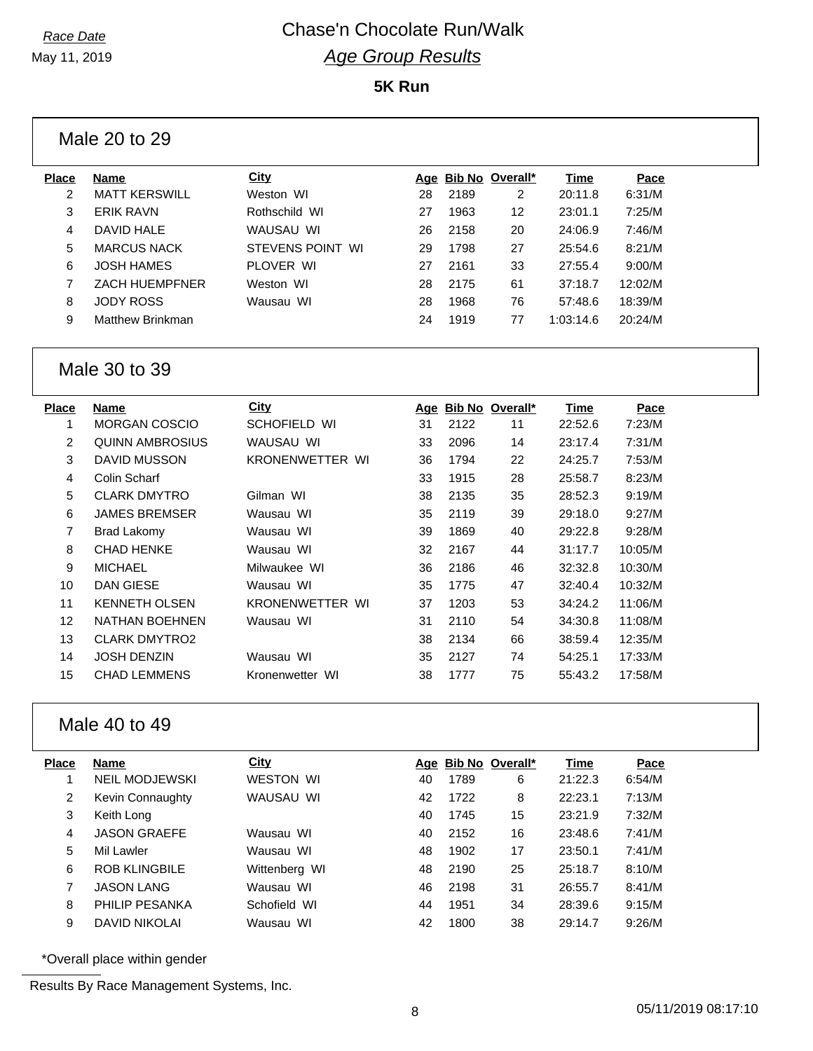## *Race Date* Chase'n Chocolate Run/Walk *Age Group Results*

### **5K Run**

|              | Male 20 to 29           |                  |    |      |                     |           |         |  |
|--------------|-------------------------|------------------|----|------|---------------------|-----------|---------|--|
| <b>Place</b> | Name                    | <b>City</b>      |    |      | Age Bib No Overall* | Time      | Pace    |  |
| 2            | <b>MATT KERSWILL</b>    | Weston WI        | 28 | 2189 | 2                   | 20:11.8   | 6:31/M  |  |
| 3            | <b>ERIK RAVN</b>        | Rothschild WI    | 27 | 1963 | 12                  | 23:01.1   | 7:25/M  |  |
| 4            | DAVID HALE              | WAUSAU WI        | 26 | 2158 | 20                  | 24:06.9   | 7:46/M  |  |
| 5            | <b>MARCUS NACK</b>      | STEVENS POINT WI | 29 | 1798 | 27                  | 25:54.6   | 8:21/M  |  |
| 6            | <b>JOSH HAMES</b>       | PLOVER WI        | 27 | 2161 | 33                  | 27:55.4   | 9:00/M  |  |
|              | <b>ZACH HUEMPFNER</b>   | Weston WI        | 28 | 2175 | 61                  | 37:18.7   | 12:02/M |  |
| 8            | <b>JODY ROSS</b>        | Wausau WI        | 28 | 1968 | 76                  | 57:48.6   | 18:39/M |  |
| 9            | <b>Matthew Brinkman</b> |                  | 24 | 1919 | 77                  | 1:03:14.6 | 20:24/M |  |
|              |                         |                  |    |      |                     |           |         |  |

### Male 30 to 39

| Place | Name                   | City                   | Age |      | Bib No Overall* | Time    | Pace    |
|-------|------------------------|------------------------|-----|------|-----------------|---------|---------|
| 1     | <b>MORGAN COSCIO</b>   | SCHOFIELD WI           | 31  | 2122 | 11              | 22:52.6 | 7:23/M  |
| 2     | <b>QUINN AMBROSIUS</b> | WAUSAU WI              | 33  | 2096 | 14              | 23:17.4 | 7:31/M  |
| 3     | DAVID MUSSON           | <b>KRONENWETTER WI</b> | 36  | 1794 | 22              | 24:25.7 | 7:53/M  |
| 4     | Colin Scharf           |                        | 33  | 1915 | 28              | 25:58.7 | 8:23/M  |
| 5     | <b>CLARK DMYTRO</b>    | Gilman WI              | 38  | 2135 | 35              | 28:52.3 | 9:19/M  |
| 6     | <b>JAMES BREMSER</b>   | Wausau WI              | 35  | 2119 | 39              | 29:18.0 | 9:27/M  |
| 7     | Brad Lakomy            | Wausau WI              | 39  | 1869 | 40              | 29:22.8 | 9:28/M  |
| 8     | <b>CHAD HENKE</b>      | Wausau WI              | 32  | 2167 | 44              | 31:17.7 | 10:05/M |
| 9     | <b>MICHAEL</b>         | Milwaukee WI           | 36  | 2186 | 46              | 32:32.8 | 10:30/M |
| 10    | DAN GIESE              | Wausau WI              | 35  | 1775 | 47              | 32:40.4 | 10:32/M |
| 11    | <b>KENNETH OLSEN</b>   | <b>KRONENWETTER WI</b> | 37  | 1203 | 53              | 34:24.2 | 11:06/M |
| 12    | <b>NATHAN BOEHNEN</b>  | Wausau WI              | 31  | 2110 | 54              | 34:30.8 | 11:08/M |
| 13    | <b>CLARK DMYTRO2</b>   |                        | 38  | 2134 | 66              | 38:59.4 | 12:35/M |
| 14    | JOSH DENZIN            | Wausau WI              | 35  | 2127 | 74              | 54:25.1 | 17:33/M |
| 15    | <b>CHAD LEMMENS</b>    | Kronenwetter WI        | 38  | 1777 | 75              | 55:43.2 | 17:58/M |
|       |                        |                        |     |      |                 |         |         |

### Male 40 to 49

| Place | Name                  | <b>City</b>      |    |      | Age Bib No Overall* | <b>Time</b> | Pace   |
|-------|-----------------------|------------------|----|------|---------------------|-------------|--------|
|       | <b>NEIL MODJEWSKI</b> | <b>WESTON WI</b> | 40 | 1789 | 6                   | 21:22.3     | 6:54/M |
| 2     | Kevin Connaughty      | WAUSAU WI        | 42 | 1722 | 8                   | 22:23.1     | 7:13/M |
| 3     | Keith Long            |                  | 40 | 1745 | 15                  | 23:21.9     | 7:32/M |
| 4     | <b>JASON GRAEFE</b>   | Wausau WI        | 40 | 2152 | 16                  | 23:48.6     | 7:41/M |
| 5     | Mil Lawler            | Wausau WI        | 48 | 1902 | 17                  | 23:50.1     | 7:41/M |
| 6     | <b>ROB KLINGBILE</b>  | Wittenberg WI    | 48 | 2190 | 25                  | 25:18.7     | 8:10/M |
| 7     | <b>JASON LANG</b>     | Wausau WI        | 46 | 2198 | 31                  | 26:55.7     | 8:41/M |
| 8     | PHILIP PESANKA        | Schofield WI     | 44 | 1951 | 34                  | 28:39.6     | 9:15/M |
| 9     | <b>DAVID NIKOLAI</b>  | Wausau WI        | 42 | 1800 | 38                  | 29:14.7     | 9:26/M |
|       |                       |                  |    |      |                     |             |        |

\*Overall place within gender